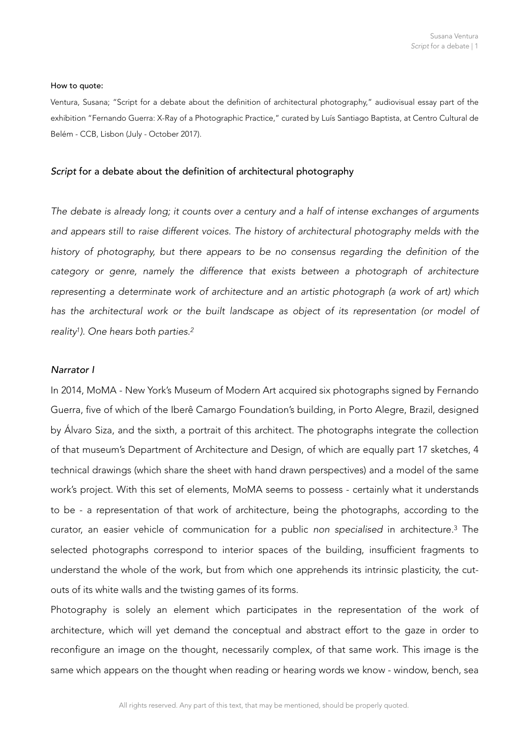#### How to quote:

Ventura, Susana; "Script for a debate about the definition of architectural photography," audiovisual essay part of the exhibition "Fernando Guerra: X-Ray of a Photographic Practice," curated by Luís Santiago Baptista, at Centro Cultural de Belém - CCB, Lisbon (July - October 2017).

# *Script* for a debate about the definition of architectural photography

*The debate is already long; it counts over a century and a half of intense exchanges of arguments and appears still to raise different voices. The history of architectural photography melds with the history of photography, but there appears to be no consensus regarding the definition of the*  category or genre, namely the difference that exists between a photograph of architecture *representing a determinate work of architecture and an artistic photograph (a work of art) which*  has the architectural work or the built landscape as object of its representation (or model of *reality ). One hears both parties. [1](#page-8-0) [2](#page-8-1)*

#### <span id="page-0-1"></span><span id="page-0-0"></span>*Narrator I*

In 2014, MoMA - New York's Museum of Modern Art acquired six photographs signed by Fernando Guerra, five of which of the Iberê Camargo Foundation's building, in Porto Alegre, Brazil, designed by Álvaro Siza, and the sixth, a portrait of this architect. The photographs integrate the collection of that museum's Department of Architecture and Design, of which are equally part 17 sketches, 4 technical drawings (which share the sheet with hand drawn perspectives) and a model of the same work's project. With this set of elements, MoMA seems to possess - certainly what it understands to be - a representation of that work of architecture, being the photographs, according to the curator, an easier vehicle of communication for a public non specialised in architecture.<sup>[3](#page-8-2)</sup> The selected photographs correspond to interior spaces of the building, insufficient fragments to understand the whole of the work, but from which one apprehends its intrinsic plasticity, the cutouts of its white walls and the twisting games of its forms.

<span id="page-0-2"></span>Photography is solely an element which participates in the representation of the work of architecture, which will yet demand the conceptual and abstract effort to the gaze in order to reconfigure an image on the thought, necessarily complex, of that same work. This image is the same which appears on the thought when reading or hearing words we know - window, bench, sea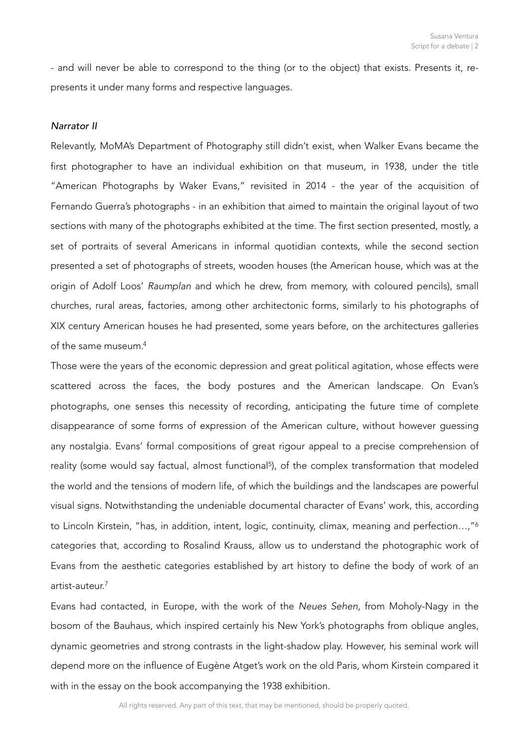- and will never be able to correspond to the thing (or to the object) that exists. Presents it, represents it under many forms and respective languages.

# *Narrator II*

Relevantly, MoMA's Department of Photography still didn't exist, when Walker Evans became the first photographer to have an individual exhibition on that museum, in 1938, under the title "American Photographs by Waker Evans," revisited in 2014 - the year of the acquisition of Fernando Guerra's photographs - in an exhibition that aimed to maintain the original layout of two sections with many of the photographs exhibited at the time. The first section presented, mostly, a set of portraits of several Americans in informal quotidian contexts, while the second section presented a set of photographs of streets, wooden houses (the American house, which was at the origin of Adolf Loos' *Raumplan* and which he drew, from memory, with coloured pencils), small churches, rural areas, factories, among other architectonic forms, similarly to his photographs of XIX century American houses he had presented, some years before, on the architectures galleries of the same museum.[4](#page-8-3)

<span id="page-1-1"></span><span id="page-1-0"></span>Those were the years of the economic depression and great political agitation, whose effects were scattered across the faces, the body postures and the American landscape. On Evan's photographs, one senses this necessity of recording, anticipating the future time of complete disappearance of some forms of expression of the American culture, without however guessing any nostalgia. Evans' formal compositions of great rigour appeal to a precise comprehension of reality (some would say factual, almost functional<sup>5</sup>[\)](#page-8-4), of the complex transformation that modeled the world and the tensions of modern life, of which the buildings and the landscapes are powerful visual signs. Notwithstanding the undeniable documental character of Evans' work, this, according to Lincoln Kirstein, "has, in addition, intent, logic, continuity, climax, meaning and perfection...,"<sup>6</sup> categories that, according to Rosalind Krauss, allow us to understand the photographic work of Evans from the aesthetic categories established by art history to define the body of work of an artist-auteur.[7](#page-8-6)

<span id="page-1-3"></span><span id="page-1-2"></span>Evans had contacted, in Europe, with the work of the *Neues Sehen*, from Moholy-Nagy in the bosom of the Bauhaus, which inspired certainly his New York's photographs from oblique angles, dynamic geometries and strong contrasts in the light-shadow play. However, his seminal work will depend more on the influence of Eugène Atget's work on the old Paris, whom Kirstein compared it with in the essay on the book accompanying the 1938 exhibition.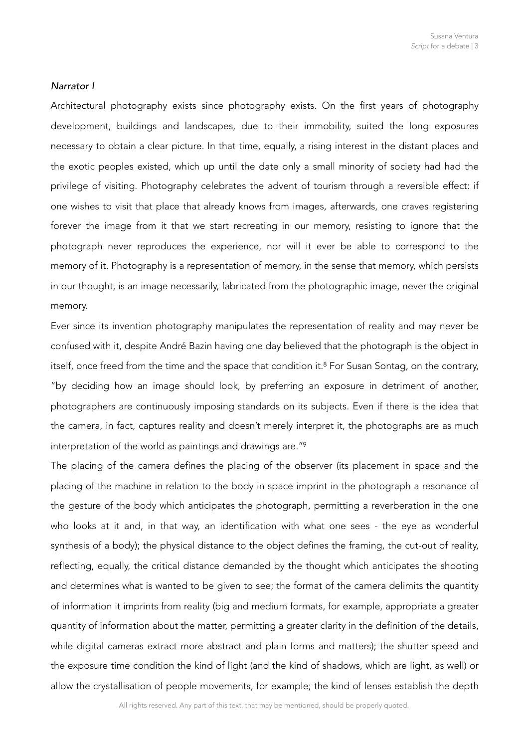# *Narrator I*

Architectural photography exists since photography exists. On the first years of photography development, buildings and landscapes, due to their immobility, suited the long exposures necessary to obtain a clear picture. In that time, equally, a rising interest in the distant places and the exotic peoples existed, which up until the date only a small minority of society had had the privilege of visiting. Photography celebrates the advent of tourism through a reversible effect: if one wishes to visit that place that already knows from images, afterwards, one craves registering forever the image from it that we start recreating in our memory, resisting to ignore that the photograph never reproduces the experience, nor will it ever be able to correspond to the memory of it. Photography is a representation of memory, in the sense that memory, which persists in our thought, is an image necessarily, fabricated from the photographic image, never the original memory.

<span id="page-2-0"></span>Ever since its invention photography manipulates the representation of reality and may never be confused with it, despite André Bazin having one day believed that the photograph is the object in itself, once freed from the time and the space that condition it.<sup>[8](#page-8-7)</sup> For Susan Sontag, on the contrary, "by deciding how an image should look, by preferring an exposure in detriment of another, photographers are continuously imposing standards on its subjects. Even if there is the idea that the camera, in fact, captures reality and doesn't merely interpret it, the photographs are as much interpretation of the world as paintings and drawings are.["9](#page-8-8)

<span id="page-2-1"></span>The placing of the camera defines the placing of the observer (its placement in space and the placing of the machine in relation to the body in space imprint in the photograph a resonance of the gesture of the body which anticipates the photograph, permitting a reverberation in the one who looks at it and, in that way, an identification with what one sees - the eye as wonderful synthesis of a body); the physical distance to the object defines the framing, the cut-out of reality, reflecting, equally, the critical distance demanded by the thought which anticipates the shooting and determines what is wanted to be given to see; the format of the camera delimits the quantity of information it imprints from reality (big and medium formats, for example, appropriate a greater quantity of information about the matter, permitting a greater clarity in the definition of the details, while digital cameras extract more abstract and plain forms and matters); the shutter speed and the exposure time condition the kind of light (and the kind of shadows, which are light, as well) or allow the crystallisation of people movements, for example; the kind of lenses establish the depth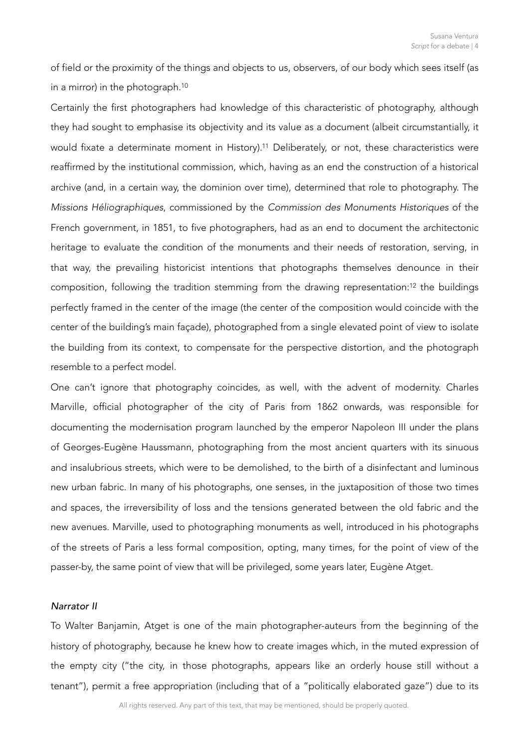<span id="page-3-0"></span>of field or the proximity of the things and objects to us, observers, of our body which sees itself (as in a mirror) in the photograph.[10](#page-8-9)

<span id="page-3-1"></span>Certainly the first photographers had knowledge of this characteristic of photography, although they had sought to emphasise its objectivity and its value as a document (albeit circumstantially, it would fixate a determinate moment in History).<sup>[11](#page-9-0)</sup> Deliberately, or not, these characteristics were reaffirmed by the institutional commission, which, having as an end the construction of a historical archive (and, in a certain way, the dominion over time), determined that role to photography. The *Missions Héliographiques*, commissioned by the *Commission des Monuments Historiques* of the French government, in 1851, to five photographers, had as an end to document the architectonic heritage to evaluate the condition of the monuments and their needs of restoration, serving, in that way, the prevailing historicist intentions that photographs themselves denounce in their composition, following the tradition stemming from the drawing representation:<sup>[12](#page-9-1)</sup> the buildings perfectly framed in the center of the image (the center of the composition would coincide with the center of the building's main façade), photographed from a single elevated point of view to isolate the building from its context, to compensate for the perspective distortion, and the photograph resemble to a perfect model.

<span id="page-3-2"></span>One can't ignore that photography coincides, as well, with the advent of modernity. Charles Marville, official photographer of the city of Paris from 1862 onwards, was responsible for documenting the modernisation program launched by the emperor Napoleon III under the plans of Georges-Eugène Haussmann, photographing from the most ancient quarters with its sinuous and insalubrious streets, which were to be demolished, to the birth of a disinfectant and luminous new urban fabric. In many of his photographs, one senses, in the juxtaposition of those two times and spaces, the irreversibility of loss and the tensions generated between the old fabric and the new avenues. Marville, used to photographing monuments as well, introduced in his photographs of the streets of Paris a less formal composition, opting, many times, for the point of view of the passer-by, the same point of view that will be privileged, some years later, Eugène Atget.

## *Narrator II*

To Walter Banjamin, Atget is one of the main photographer-auteurs from the beginning of the history of photography, because he knew how to create images which, in the muted expression of the empty city ("the city, in those photographs, appears like an orderly house still without a tenant"), permit a free appropriation (including that of a "politically elaborated gaze") due to its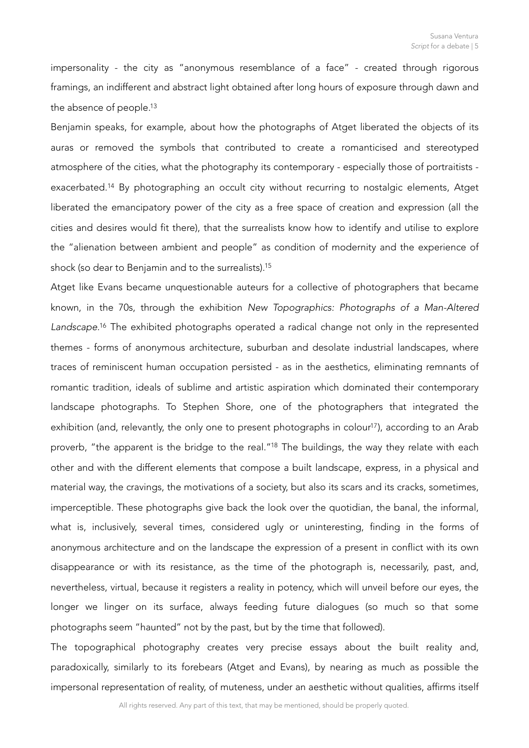impersonality - the city as "anonymous resemblance of a face" - created through rigorous framings, an indifferent and abstract light obtained after long hours of exposure through dawn and the absence of people.<sup>13</sup>

<span id="page-4-1"></span><span id="page-4-0"></span>Benjamin speaks, for example, about how the photographs of Atget liberated the objects of its auras or removed the symbols that contributed to create a romanticised and stereotyped atmosphere of the cities, what the photography its contemporary - especially those of portraitists - exacerbated.<sup>[14](#page-9-3)</sup> By photographing an occult city without recurring to nostalgic elements, Atget liberated the emancipatory power of the city as a free space of creation and expression (all the cities and desires would fit there), that the surrealists know how to identify and utilise to explore the "alienation between ambient and people" as condition of modernity and the experience of shock (so dear to Benjamin and to the surrealists)[.15](#page-9-4)

<span id="page-4-5"></span><span id="page-4-4"></span><span id="page-4-3"></span><span id="page-4-2"></span>Atget like Evans became unquestionable auteurs for a collective of photographers that became known, in the 70s, through the exhibition *New Topographics: Photographs of a Man-Altered*  Landscape[.](#page-9-5)<sup>[16](#page-9-5)</sup> The exhibited photographs operated a radical change not only in the represented themes - forms of anonymous architecture, suburban and desolate industrial landscapes, where traces of reminiscent human occupation persisted - as in the aesthetics, eliminating remnants of romantic tradition, ideals of sublime and artistic aspiration which dominated their contemporary landscape photographs. To Stephen Shore, one of the photographers that integrated the exhibition (and, relevantly, the only one to present photographs in colour<sup>[17](#page-9-6)</sup>), according to an Arab proverb, "the apparent is the bridge to the real."<sup>[18](#page-9-7)</sup> The buildings, the way they relate with each other and with the different elements that compose a built landscape, express, in a physical and material way, the cravings, the motivations of a society, but also its scars and its cracks, sometimes, imperceptible. These photographs give back the look over the quotidian, the banal, the informal, what is, inclusively, several times, considered ugly or uninteresting, finding in the forms of anonymous architecture and on the landscape the expression of a present in conflict with its own disappearance or with its resistance, as the time of the photograph is, necessarily, past, and, nevertheless, virtual, because it registers a reality in potency, which will unveil before our eyes, the longer we linger on its surface, always feeding future dialogues (so much so that some photographs seem "haunted" not by the past, but by the time that followed).

The topographical photography creates very precise essays about the built reality and, paradoxically, similarly to its forebears (Atget and Evans), by nearing as much as possible the impersonal representation of reality, of muteness, under an aesthetic without qualities, affirms itself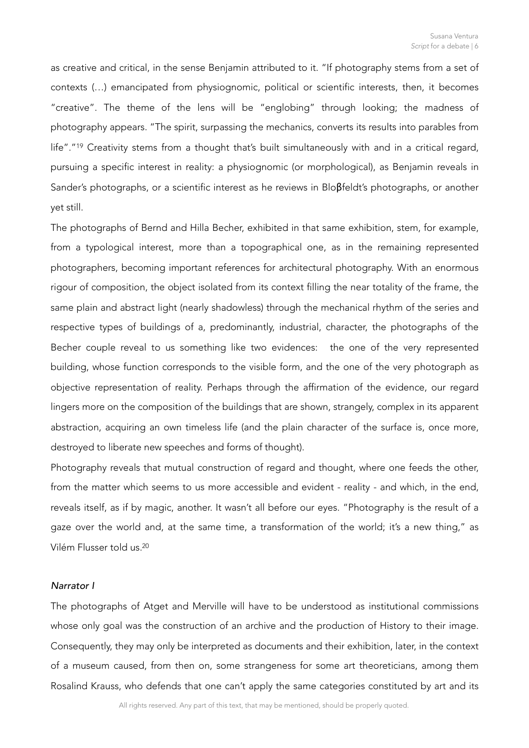<span id="page-5-0"></span>as creative and critical, in the sense Benjamin attributed to it. "If photography stems from a set of contexts (…) emancipated from physiognomic, political or scientific interests, then, it becomes "creative". The theme of the lens will be "englobing" through looking; the madness of photography appears. "The spirit, surpassing the mechanics, converts its results into parables from life"."<sup>[19](#page-9-8)</sup> Creativity stems from a thought that's built simultaneously with and in a critical regard, pursuing a specific interest in reality: a physiognomic (or morphological), as Benjamin reveals in Sander's photographs, or a scientific interest as he reviews in Bloβfeldt's photographs, or another yet still.

The photographs of Bernd and Hilla Becher, exhibited in that same exhibition, stem, for example, from a typological interest, more than a topographical one, as in the remaining represented photographers, becoming important references for architectural photography. With an enormous rigour of composition, the object isolated from its context filling the near totality of the frame, the same plain and abstract light (nearly shadowless) through the mechanical rhythm of the series and respective types of buildings of a, predominantly, industrial, character, the photographs of the Becher couple reveal to us something like two evidences: the one of the very represented building, whose function corresponds to the visible form, and the one of the very photograph as objective representation of reality. Perhaps through the affirmation of the evidence, our regard lingers more on the composition of the buildings that are shown, strangely, complex in its apparent abstraction, acquiring an own timeless life (and the plain character of the surface is, once more, destroyed to liberate new speeches and forms of thought).

Photography reveals that mutual construction of regard and thought, where one feeds the other, from the matter which seems to us more accessible and evident - reality - and which, in the end, reveals itself, as if by magic, another. It wasn't all before our eyes. "Photography is the result of a gaze over the world and, at the same time, a transformation of the world; it's a new thing," as Vilém Flusser told us[.20](#page-10-0)

## <span id="page-5-1"></span>*Narrator I*

The photographs of Atget and Merville will have to be understood as institutional commissions whose only goal was the construction of an archive and the production of History to their image. Consequently, they may only be interpreted as documents and their exhibition, later, in the context of a museum caused, from then on, some strangeness for some art theoreticians, among them Rosalind Krauss, who defends that one can't apply the same categories constituted by art and its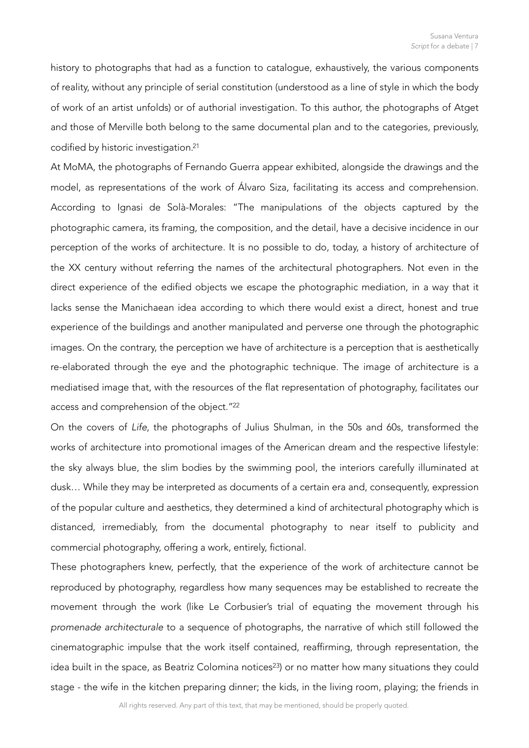history to photographs that had as a function to catalogue, exhaustively, the various components of reality, without any principle of serial constitution (understood as a line of style in which the body of work of an artist unfolds) or of authorial investigation. To this author, the photographs of Atget and those of Merville both belong to the same documental plan and to the categories, previously, codified by historic investigation[.21](#page-10-1)

<span id="page-6-0"></span>At MoMA, the photographs of Fernando Guerra appear exhibited, alongside the drawings and the model, as representations of the work of Álvaro Siza, facilitating its access and comprehension. According to Ignasi de Solà-Morales: "The manipulations of the objects captured by the photographic camera, its framing, the composition, and the detail, have a decisive incidence in our perception of the works of architecture. It is no possible to do, today, a history of architecture of the XX century without referring the names of the architectural photographers. Not even in the direct experience of the edified objects we escape the photographic mediation, in a way that it lacks sense the Manichaean idea according to which there would exist a direct, honest and true experience of the buildings and another manipulated and perverse one through the photographic images. On the contrary, the perception we have of architecture is a perception that is aesthetically re-elaborated through the eye and the photographic technique. The image of architecture is a mediatised image that, with the resources of the flat representation of photography, facilitates our access and comprehension of the object.["22](#page-10-2)

<span id="page-6-1"></span>On the covers of *Life*, the photographs of Julius Shulman, in the 50s and 60s, transformed the works of architecture into promotional images of the American dream and the respective lifestyle: the sky always blue, the slim bodies by the swimming pool, the interiors carefully illuminated at dusk… While they may be interpreted as documents of a certain era and, consequently, expression of the popular culture and aesthetics, they determined a kind of architectural photography which is distanced, irremediably, from the documental photography to near itself to publicity and commercial photography, offering a work, entirely, fictional.

<span id="page-6-2"></span>These photographers knew, perfectly, that the experience of the work of architecture cannot be reproduced by photography, regardless how many sequences may be established to recreate the movement through the work (like Le Corbusier's trial of equating the movement through his *promenade architecturale* to a sequence of photographs, the narrative of which still followed the cinematographic impulse that the work itself contained, reaffirming, through representation, the idea built in the space, as Beatriz Colomina notices<sup>[23](#page-10-3)</sup>) or no matter how many situations they could stage - the wife in the kitchen preparing dinner; the kids, in the living room, playing; the friends in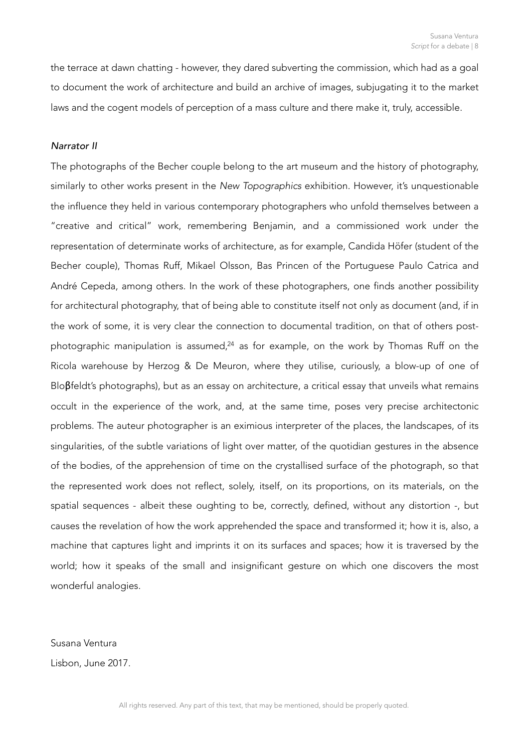the terrace at dawn chatting - however, they dared subverting the commission, which had as a goal to document the work of architecture and build an archive of images, subjugating it to the market laws and the cogent models of perception of a mass culture and there make it, truly, accessible.

#### *Narrator II*

<span id="page-7-0"></span>The photographs of the Becher couple belong to the art museum and the history of photography, similarly to other works present in the *New Topographics* exhibition. However, it's unquestionable the influence they held in various contemporary photographers who unfold themselves between a "creative and critical" work, remembering Benjamin, and a commissioned work under the representation of determinate works of architecture, as for example, Candida Höfer (student of the Becher couple), Thomas Ruff, Mikael Olsson, Bas Princen of the Portuguese Paulo Catrica and André Cepeda, among others. In the work of these photographers, one finds another possibility for architectural photography, that of being able to constitute itself not only as document (and, if in the work of some, it is very clear the connection to documental tradition, on that of others post-photographic manipulation is assumed[,](#page-10-4) $24$  as for example, on the work by Thomas Ruff on the Ricola warehouse by Herzog & De Meuron, where they utilise, curiously, a blow-up of one of Bloβfeldt's photographs), but as an essay on architecture, a critical essay that unveils what remains occult in the experience of the work, and, at the same time, poses very precise architectonic problems. The auteur photographer is an eximious interpreter of the places, the landscapes, of its singularities, of the subtle variations of light over matter, of the quotidian gestures in the absence of the bodies, of the apprehension of time on the crystallised surface of the photograph, so that the represented work does not reflect, solely, itself, on its proportions, on its materials, on the spatial sequences - albeit these oughting to be, correctly, defined, without any distortion -, but causes the revelation of how the work apprehended the space and transformed it; how it is, also, a machine that captures light and imprints it on its surfaces and spaces; how it is traversed by the world; how it speaks of the small and insignificant gesture on which one discovers the most wonderful analogies.

Susana Ventura Lisbon, June 2017.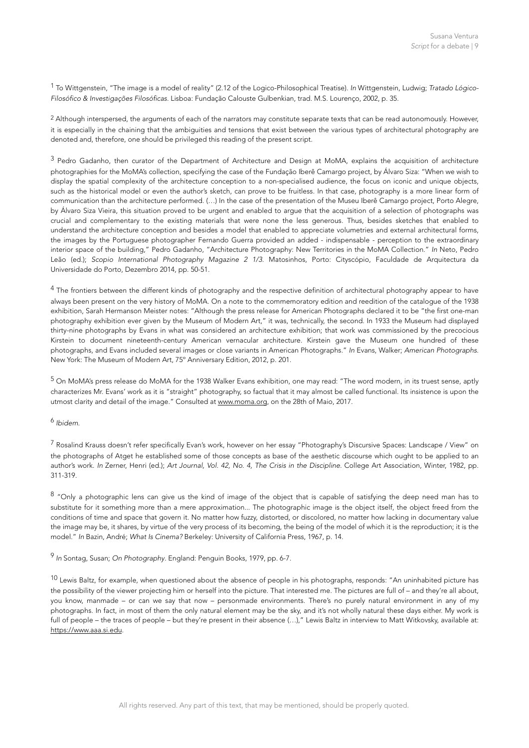<span id="page-8-0"></span> To Wittgenstein, "The image is a model of reality" (2.12 of the Logico-Philosophical Treatise). *In* Wittgenstein, Ludwig; *Tratado Lógico-* [1](#page-0-0) *Filosófico & Investigações Filosóficas*. Lisboa: Fundação Calouste Gulbenkian, trad. M.S. Lourenço, 2002, p. 35.

<span id="page-8-1"></span><sup>[2](#page-0-1)</sup> Although interspersed, the arguments of each of the narrators may constitute separate texts that can be read autonomously. However, it is especially in the chaining that the ambiguities and tensions that exist between the various types of architectural photography are denoted and, therefore, one should be privileged this reading of the present script.

<span id="page-8-2"></span><sup>[3](#page-0-2)</sup> Pedro Gadanho, then curator of the Department of Architecture and Design at MoMA, explains the acquisition of architecture photographies for the MoMA's collection, specifying the case of the Fundação Iberê Camargo project, by Álvaro Siza: "When we wish to display the spatial complexity of the architecture conception to a non-specialised audience, the focus on iconic and unique objects, such as the historical model or even the author's sketch, can prove to be fruitless. In that case, photography is a more linear form of communication than the architecture performed. (…) In the case of the presentation of the Museu Iberê Camargo project, Porto Alegre, by Álvaro Siza Vieira, this situation proved to be urgent and enabled to argue that the acquisition of a selection of photographs was crucial and complementary to the existing materials that were none the less generous. Thus, besides sketches that enabled to understand the architecture conception and besides a model that enabled to appreciate volumetries and external architectural forms, the images by the Portuguese photographer Fernando Guerra provided an added - indispensable - perception to the extraordinary interior space of the building," Pedro Gadanho, "Architecture Photography: New Territories in the MoMA Collection." *In* Neto, Pedro Leão (ed.); *Scopio International Photography Magazine 2 1/3*. Matosinhos, Porto: Cityscópio, Faculdade de Arquitectura da Universidade do Porto, Dezembro 2014, pp. 50-51.

<span id="page-8-3"></span><sup>[4](#page-1-0)</sup> The frontiers between the different kinds of photography and the respective definition of architectural photography appear to have always been present on the very history of MoMA. On a note to the commemoratory edition and reedition of the catalogue of the 1938 exhibition, Sarah Hermanson Meister notes: "Although the press release for American Photographs declared it to be "the first one-man photography exhibition ever given by the Museum of Modern Art," it was, technically, the second. In 1933 the Museum had displayed thirty-nine photographs by Evans in what was considered an architecture exhibition; that work was commissioned by the precocious Kirstein to document nineteenth-century American vernacular architecture. Kirstein gave the Museum one hundred of these photographs, and Evans included several images or close variants in American Photographs." *In* Evans, Walker; *American Photographs*. New York: The Museum of Modern Art, 75º Anniversary Edition, 2012, p. 201.

<span id="page-8-4"></span><sup>[5](#page-1-1)</sup> On MoMA's press release do MoMA for the 1938 Walker Evans exhibition, one may read: "The word modern, in its truest sense, aptly characterizes Mr. Evans' work as it is "straight" photography, so factual that it may almost be called functional. Its insistence is upon the utmost clarity and detail of the image." Consulted at [www.moma.org](http://www.moma.org), on the 28th of Maio, 2017.

<span id="page-8-5"></span><sup>[6](#page-1-2)</sup> Ibidem.

<span id="page-8-6"></span> Rosalind Krauss doesn't refer specifically Evan's work, however on her essay "Photography's Discursive Spaces: Landscape / View" on [7](#page-1-3) the photographs of Atget he established some of those concepts as base of the aesthetic discourse which ought to be applied to an author's work. *In* Zerner, Henri (ed.); *Art Journal, Vol. 42, No. 4, The Crisis in the Discipline*. College Art Association, Winter, 1982, pp. 311-319.

<span id="page-8-7"></span> $8$  "Only a photographic lens can give us the kind of image of the object that is capable of satisfying the deep need man has to substitute for it something more than a mere approximation... The photographic image is the object itself, the object freed from the conditions of time and space that govern it. No matter how fuzzy, distorted, or discolored, no matter how lacking in documentary value the image may be, it shares, by virtue of the very process of its becoming, the being of the model of which it is the reproduction; it is the model." *In* Bazin, André; *What Is Cinema?* Berkeley: University of California Press, 1967, p. 14.

<span id="page-8-8"></span><sup>[9](#page-2-1)</sup> In Sontag, Susan; On Photography. England: Penguin Books, 1979, pp. 6-7.

<span id="page-8-9"></span><sup>[10](#page-3-0)</sup> Lewis Baltz, for example, when questioned about the absence of people in his photographs, responds: "An uninhabited picture has the possibility of the viewer projecting him or herself into the picture. That interested me. The pictures are full of – and they're all about, you know, manmade – or can we say that now – personmade environments. There's no purely natural environment in any of my photographs. In fact, in most of them the only natural element may be the sky, and it's not wholly natural these days either. My work is full of people – the traces of people – but they're present in their absence (...)," Lewis Baltz in interview to Matt Witkovsky, available at: <https://www.aaa.si.edu>.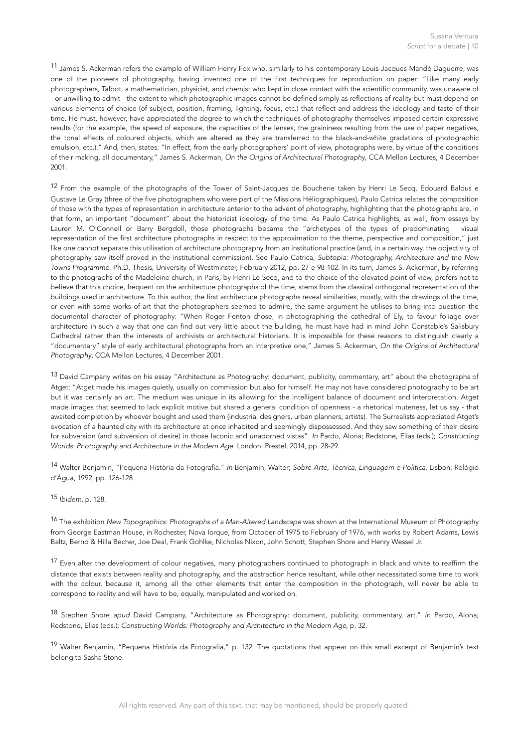<span id="page-9-0"></span> $^{11}$  $^{11}$  $^{11}$  James S. Ackerman refers the example of William Henry Fox who, similarly to his contemporary Louis-Jacques-Mandé Daguerre, was one of the pioneers of photography, having invented one of the first techniques for reproduction on paper: "Like many early photographers, Talbot, a mathematician, physicist, and chemist who kept in close contact with the scientific community, was unaware of - or unwilling to admit - the extent to which photographic images cannot be defined simply as reflections of reality but must depend on various elements of choice (of subject, position, framing, lighting, focus, etc.) that reflect and address the ideology and taste of their time. He must, however, have appreciated the degree to which the techniques of photography themselves imposed certain expressive results (for the example, the speed of exposure, the capacities of the lenses, the graininess resulting from the use of paper negatives, the tonal effects of coloured objects, which are altered as they are transferred to the black-and-white gradations of photographic emulsion, etc.)." And, then, states: "In effect, from the early photographers' point of view, photographs were, by virtue of the conditions of their making, all documentary," James S. Ackerman, *On the Origins of Architectural Photography*, CCA Mellon Lectures, 4 December 2001.

<span id="page-9-1"></span> $12$  From the example of the photographs of the Tower of Saint-Jacques de Boucherie taken by Henri Le Secq, Edouard Baldus e Gustave Le Gray (three of the five photographers who were part of the Missions Héliographiques), Paulo Catrica relates the composition of those with the types of representation in architecture anterior to the advent of photography, highlighting that the photographs are, in that form, an important "document" about the historicist ideology of the time. As Paulo Catrica highlights, as well, from essays by Lauren M. O'Connell or Barry Bergdoll, those photographs became the "archetypes of the types of predominating visual representation of the first architecture photographs in respect to the approximation to the theme, perspective and composition," just like one cannot separate this utilisation of architecture photography from an institutional practice (and, in a certain way, the objectivity of photography saw itself proved in the institutional commission). See Paulo Catrica, *Subtopia: Photography, Architecture and the New Towns Programme*. Ph.D. Thesis, University of Westminster, February 2012, pp. 27 e 98-102. In its turn, James S. Ackerman, by referring to the photographs of the Madeleine church, in Paris, by Henri Le Secq, and to the choice of the elevated point of view, prefers not to believe that this choice, frequent on the architecture photographs of the time, stems from the classical orthogonal representation of the buildings used in architecture. To this author, the first architecture photographs reveal similarities, mostly, with the drawings of the time, or even with some works of art that the photographers seemed to admire, the same argument he utilises to bring into question the documental character of photography: "When Roger Fenton chose, in photographing the cathedral of Ely, to favour foliage over architecture in such a way that one can find out very little about the building, he must have had in mind John Constable's Salisbury Cathedral rather than the interests of archivists or architectural historians. It is impossible for these reasons to distinguish clearly a "documentary" style of early architectural photographs from an interpretive one," James S. Ackerman, *On the Origins of Architectural Photography*, CCA Mellon Lectures, 4 December 2001.

<span id="page-9-2"></span> $13$  David Campany writes on his essay "Architecture as Photography: document, publicity, commentary, art" about the photographs of Atget: "Atget made his images quietly, usually on commission but also for himself. He may not have considered photography to be art but it was certainly an art. The medium was unique in its allowing for the intelligent balance of document and interpretation. Atget made images that seemed to lack explicit motive but shared a general condition of openness - a rhetorical muteness, let us say - that awaited completion by whoever bought and used them (industrial designers, urban planners, artists). The Surrealists appreciated Atget's evocation of a haunted city with its architecture at once inhabited and seemingly dispossessed. And they saw something of their desire for subversion (and subversion of desire) in those laconic and unadorned vistas". *In* Pardo, Alona; Redstone, Elias (eds.); *Constructing Worlds: Photography and Architecture in the Modern Age*. London: Prestel, 2014, pp. 28-29.

<span id="page-9-3"></span> Walter Benjamin, "Pequena História da Fotografia." *In* Benjamin, Walter; *Sobre Arte, Técnica, Linguagem e Política*. Lisbon: Relógio [14](#page-4-1) d'Água, 1992, pp. 126-128.

<span id="page-9-4"></span>[15](#page-4-2) Ibidem, p. 128.

<span id="page-9-5"></span><sup>[16](#page-4-3)</sup> The exhibition *New Topographics: Photographs of a Man-Altered Landscape was shown at the International Museum of Photography* from George Eastman House, in Rochester, Nova Iorque, from October of 1975 to February of 1976, with works by Robert Adams, Lewis Baltz, Bernd & Hilla Becher, Joe Deal, Frank Gohlke, Nicholas Nixon, John Schott, Stephen Shore and Henry Wessel Jr.

<span id="page-9-6"></span> $17$  Even after the development of colour negatives, many photographers continued to photograph in black and white to reaffirm the distance that exists between reality and photography, and the abstraction hence resultant, while other necessitated some time to work with the colour, because it, among all the other elements that enter the composition in the photograph, will never be able to correspond to reality and will have to be, equally, manipulated and worked on.

<span id="page-9-7"></span> Stephen Shore *apud* David Campany, "Architecture as Photography: document, publicity, commentary, art." *In* Pardo, Alona; [18](#page-4-5) Redstone, Elias (eds.); *Constructing Worlds: Photography and Architecture in the Modern Age*, p. 32.

<span id="page-9-8"></span><sup>[19](#page-5-0)</sup> Walter Benjamin, "Pequena História da Fotografia," p. 132. The quotations that appear on this small excerpt of Benjamin's text belong to Sasha Stone.